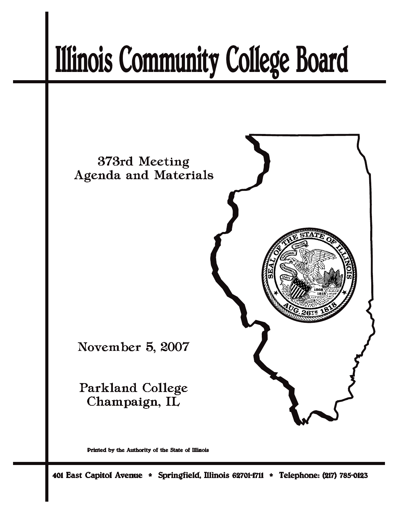# **Illinois Community College Board**



Printed by the Authority of the State of Illinois

401 East Capitol Avenue \* Springfield, Illinois 62701-1711 \* Telephone: (217) 785-0123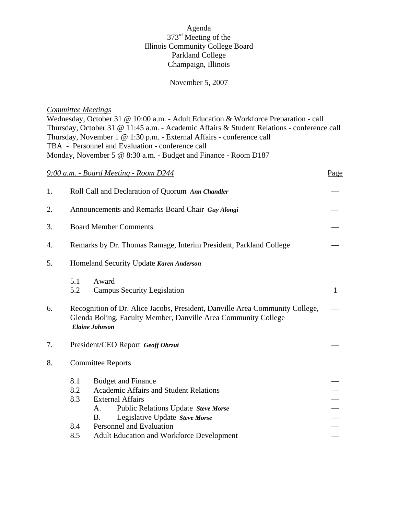# Agenda 373rd Meeting of the Illinois Community College Board Parkland College Champaign, Illinois

### November 5, 2007

### *Committee Meetings*

Wednesday, October 31 @ 10:00 a.m. - Adult Education & Workforce Preparation - call Thursday, October 31 @ 11:45 a.m. - Academic Affairs & Student Relations *-* conference call Thursday, November 1 @ 1:30 p.m. - External Affairs - conference call TBA - Personnel and Evaluation - conference call Monday, November 5 @ 8:30 a.m. - Budget and Finance - Room D187

|    |                                                                   | 9:00 a.m. - Board Meeting - Room D244                                                                                                                                   | Page         |  |
|----|-------------------------------------------------------------------|-------------------------------------------------------------------------------------------------------------------------------------------------------------------------|--------------|--|
| 1. |                                                                   | Roll Call and Declaration of Quorum Ann Chandler                                                                                                                        |              |  |
| 2. |                                                                   | Announcements and Remarks Board Chair Guy Alongi                                                                                                                        |              |  |
| 3. | <b>Board Member Comments</b>                                      |                                                                                                                                                                         |              |  |
| 4. | Remarks by Dr. Thomas Ramage, Interim President, Parkland College |                                                                                                                                                                         |              |  |
| 5. | Homeland Security Update Karen Anderson                           |                                                                                                                                                                         |              |  |
|    | 5.1<br>5.2                                                        | Award<br><b>Campus Security Legislation</b>                                                                                                                             | $\mathbf{1}$ |  |
| 6. |                                                                   | Recognition of Dr. Alice Jacobs, President, Danville Area Community College,<br>Glenda Boling, Faculty Member, Danville Area Community College<br><b>Elaine Johnson</b> |              |  |
| 7. | President/CEO Report Geoff Obrzut                                 |                                                                                                                                                                         |              |  |
| 8. | <b>Committee Reports</b>                                          |                                                                                                                                                                         |              |  |
|    | 8.1                                                               | <b>Budget and Finance</b>                                                                                                                                               |              |  |
|    | 8.2                                                               | <b>Academic Affairs and Student Relations</b>                                                                                                                           |              |  |
|    | 8.3                                                               | <b>External Affairs</b>                                                                                                                                                 |              |  |
|    |                                                                   | Public Relations Update Steve Morse<br>A.                                                                                                                               |              |  |
|    |                                                                   | Legislative Update Steve Morse<br>Β.                                                                                                                                    |              |  |
|    |                                                                   | 8.4<br>Personnel and Evaluation                                                                                                                                         |              |  |
|    | 8.5                                                               | Adult Education and Workforce Development                                                                                                                               |              |  |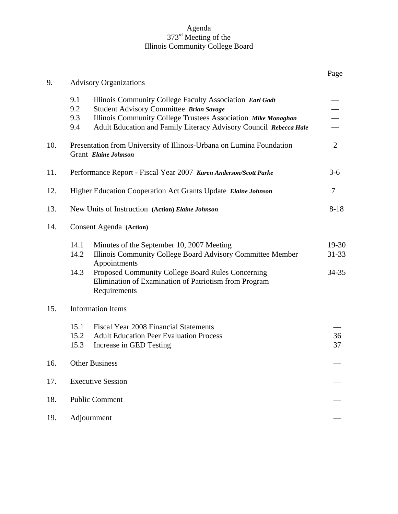### Agenda 373<sup>rd</sup> Meeting of the Illinois Community College Board

|                                                                  |                                                                                                                                                                                                                                                       | Page                                                                                                        |
|------------------------------------------------------------------|-------------------------------------------------------------------------------------------------------------------------------------------------------------------------------------------------------------------------------------------------------|-------------------------------------------------------------------------------------------------------------|
| <b>Advisory Organizations</b>                                    |                                                                                                                                                                                                                                                       |                                                                                                             |
| 9.1<br>9.2<br>9.3<br>9.4                                         | Illinois Community College Faculty Association Earl Godt<br>Student Advisory Committee Brian Savage<br>Illinois Community College Trustees Association Mike Monaghan<br>Adult Education and Family Literacy Advisory Council Rebecca Hale             |                                                                                                             |
|                                                                  |                                                                                                                                                                                                                                                       | $\overline{2}$                                                                                              |
| Performance Report - Fiscal Year 2007 Karen Anderson/Scott Parke |                                                                                                                                                                                                                                                       | $3-6$                                                                                                       |
| Higher Education Cooperation Act Grants Update Elaine Johnson    |                                                                                                                                                                                                                                                       | 7                                                                                                           |
| New Units of Instruction (Action) Elaine Johnson                 |                                                                                                                                                                                                                                                       | $8 - 18$                                                                                                    |
| Consent Agenda (Action)                                          |                                                                                                                                                                                                                                                       |                                                                                                             |
| 14.1<br>14.2<br>14.3                                             | Minutes of the September 10, 2007 Meeting<br>Illinois Community College Board Advisory Committee Member<br>Appointments<br>Proposed Community College Board Rules Concerning<br>Elimination of Examination of Patriotism from Program<br>Requirements | 19-30<br>31-33<br>34-35                                                                                     |
| <b>Information Items</b>                                         |                                                                                                                                                                                                                                                       |                                                                                                             |
| 15.1<br>15.2<br>15.3                                             | <b>Fiscal Year 2008 Financial Statements</b><br><b>Adult Education Peer Evaluation Process</b><br>Increase in GED Testing                                                                                                                             | 36<br>37                                                                                                    |
| <b>Other Business</b>                                            |                                                                                                                                                                                                                                                       |                                                                                                             |
| <b>Executive Session</b>                                         |                                                                                                                                                                                                                                                       |                                                                                                             |
| <b>Public Comment</b>                                            |                                                                                                                                                                                                                                                       |                                                                                                             |
|                                                                  |                                                                                                                                                                                                                                                       |                                                                                                             |
|                                                                  |                                                                                                                                                                                                                                                       | Presentation from University of Illinois-Urbana on Lumina Foundation<br>Grant Elaine Johnson<br>Adjournment |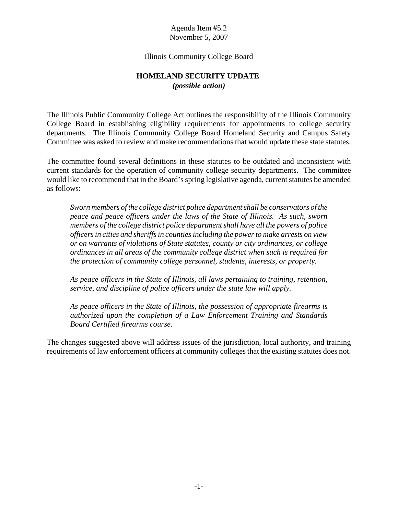### Illinois Community College Board

### **HOMELAND SECURITY UPDATE**  *(possible action)*

The Illinois Public Community College Act outlines the responsibility of the Illinois Community College Board in establishing eligibility requirements for appointments to college security departments. The Illinois Community College Board Homeland Security and Campus Safety Committee was asked to review and make recommendations that would update these state statutes.

The committee found several definitions in these statutes to be outdated and inconsistent with current standards for the operation of community college security departments. The committee would like to recommend that in the Board's spring legislative agenda, current statutes be amended as follows:

*Sworn members of the college district police department shall be conservators of the peace and peace officers under the laws of the State of Illinois. As such, sworn members of the college district police department shall have all the powers of police officers in cities and sheriffs in counties including the power to make arrests on view or on warrants of violations of State statutes, county or city ordinances, or college ordinances in all areas of the community college district when such is required for the protection of community college personnel, students, interests, or property.*

*As peace officers in the State of Illinois, all laws pertaining to training, retention, service, and discipline of police officers under the state law will apply.*

*As peace officers in the State of Illinois, the possession of appropriate firearms is authorized upon the completion of a Law Enforcement Training and Standards Board Certified firearms course.*

The changes suggested above will address issues of the jurisdiction, local authority, and training requirements of law enforcement officers at community colleges that the existing statutes does not.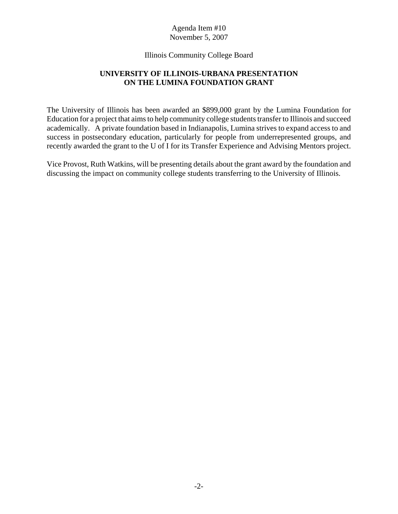### Illinois Community College Board

# **UNIVERSITY OF ILLINOIS-URBANA PRESENTATION ON THE LUMINA FOUNDATION GRANT**

The University of Illinois has been awarded an \$899,000 grant by the Lumina Foundation for Education for a project that aims to help community college students transfer to Illinois and succeed academically. A private foundation based in Indianapolis, Lumina strives to expand access to and success in postsecondary education, particularly for people from underrepresented groups, and recently awarded the grant to the U of I for its Transfer Experience and Advising Mentors project.

Vice Provost, Ruth Watkins, will be presenting details about the grant award by the foundation and discussing the impact on community college students transferring to the University of Illinois.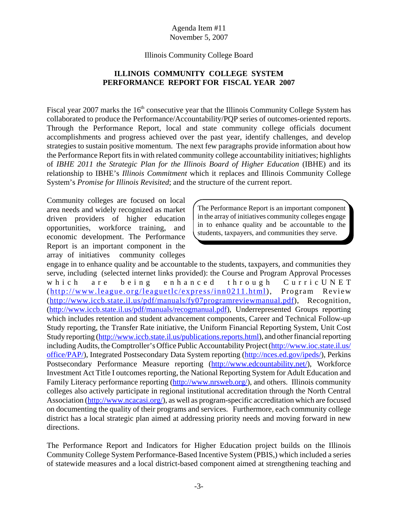### Illinois Community College Board

# **ILLINOIS COMMUNITY COLLEGE SYSTEM PERFORMANCE REPORT FOR FISCAL YEAR 2007**

Fiscal year 2007 marks the  $16<sup>th</sup>$  consecutive year that the Illinois Community College System has collaborated to produce the Performance/Accountability/PQP series of outcomes-oriented reports. Through the Performance Report, local and state community college officials document accomplishments and progress achieved over the past year, identify challenges, and develop strategies to sustain positive momentum. The next few paragraphs provide information about how the Performance Report fits in with related community college accountability initiatives; highlights of *IBHE 2011 the Strategic Plan for the Illinois Board of Higher Education* (IBHE) and its relationship to IBHE's *Illinois Commitment* which it replaces and Illinois Community College System's *Promise for Illinois Revisited*; and the structure of the current report.

Community colleges are focused on local area needs and widely recognized as market driven providers of higher education opportunities, workforce training, and economic development. The Performance Report is an important component in the array of initiatives community colleges

The Performance Report is an important component in the array of initiatives community colleges engage in to enhance quality and be accountable to the students, taxpayers, and communities they serve.

engage in to enhance quality and be accountable to the students, taxpayers, and communities they serve, including (selected internet links provided): the Course and Program Approval Processes which are being enhanced through CurricUNET (http://www.league.org/leaguetlc/express/inn0211.html), Program Review (http://www.iccb.state.il.us/pdf/manuals/fy07programreviewmanual.pdf), Recognition, (http://www.iccb.state.il.us/pdf/manuals/recogmanual.pdf), Underrepresented Groups reporting which includes retention and student advancement components, Career and Technical Follow-up Study reporting, the Transfer Rate initiative, the Uniform Financial Reporting System, Unit Cost Study reporting (http://www.iccb.state.il.us/publications.reports.html), and other financial reporting including Audits, the Comptroller's Office Public Accountability Project (http://www.ioc.state.il.us/ office/PAP/), Integrated Postsecondary Data System reporting (http://nces.ed.gov/ipeds/), Perkins Postsecondary Performance Measure reporting (http://www.edcountability.net/), Workforce Investment Act Title I outcomes reporting, the National Reporting System for Adult Education and Family Literacy performance reporting (http://www.nrsweb.org/), and others. Illinois community colleges also actively participate in regional institutional accreditation through the North Central Association (http://www.ncacasi.org/), as well as program-specific accreditation which are focused on documenting the quality of their programs and services. Furthermore, each community college district has a local strategic plan aimed at addressing priority needs and moving forward in new directions.

The Performance Report and Indicators for Higher Education project builds on the Illinois Community College System Performance-Based Incentive System (PBIS,) which included a series of statewide measures and a local district-based component aimed at strengthening teaching and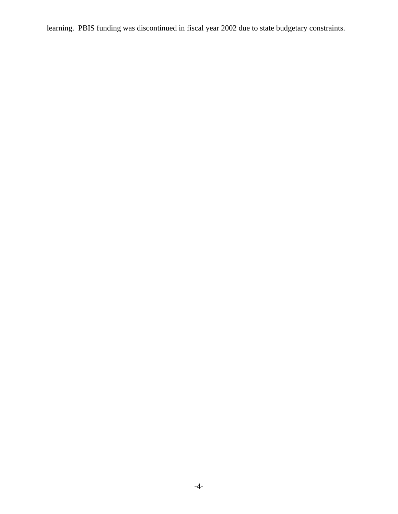learning. PBIS funding was discontinued in fiscal year 2002 due to state budgetary constraints.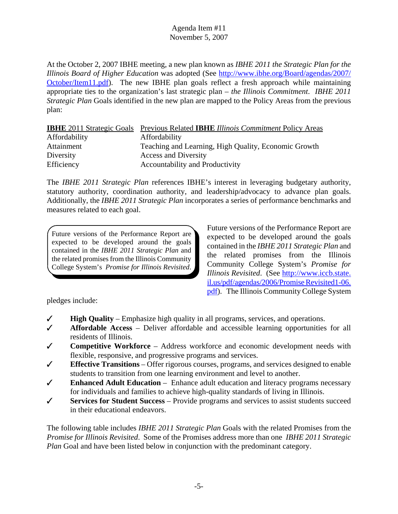At the October 2, 2007 IBHE meeting, a new plan known as *IBHE 2011 the Strategic Plan for the Illinois Board of Higher Education* was adopted (See http://www.ibhe.org/Board/agendas/2007/ October/Item11.pdf). The new IBHE plan goals reflect a fresh approach while maintaining appropriate ties to the organization's last strategic plan – *the Illinois Commitment*. *IBHE 2011 Strategic Plan* Goals identified in the new plan are mapped to the Policy Areas from the previous plan:

|               | <b>IBHE</b> 2011 Strategic Goals Previous Related <b>IBHE</b> Illinois Commitment Policy Areas |
|---------------|------------------------------------------------------------------------------------------------|
| Affordability | Affordability                                                                                  |
| Attainment    | Teaching and Learning, High Quality, Economic Growth                                           |
| Diversity     | <b>Access and Diversity</b>                                                                    |
| Efficiency    | Accountability and Productivity                                                                |

The *IBHE 2011 Strategic Plan* references IBHE's interest in leveraging budgetary authority, statutory authority, coordination authority, and leadership/advocacy to advance plan goals. Additionally, the *IBHE 2011 Strategic Plan* incorporates a series of performance benchmarks and measures related to each goal.

Future versions of the Performance Report are expected to be developed around the goals contained in the *IBHE 2011 Strategic Plan* and the related promises from the Illinois Community College System's *Promise for Illinois Revisited*.

Future versions of the Performance Report are expected to be developed around the goals contained in the *IBHE 2011 Strategic Plan* and the related promises from the Illinois Community College System's *Promise for Illinois Revisited*. (See http://www.iccb.state. il.us/pdf/agendas/2006/Promise Revisited1-06. pdf). The Illinois Community College System

pledges include:

- $\checkmark$  **High Quality** Emphasize high quality in all programs, services, and operations.
- T **Affordable Access** Deliver affordable and accessible learning opportunities for all residents of Illinois.
- T **Competitive Workforce** Address workforce and economic development needs with flexible, responsive, and progressive programs and services.
- $\checkmark$  **Effective Transitions** Offer rigorous courses, programs, and services designed to enable students to transition from one learning environment and level to another.
- T **Enhanced Adult Education** Enhance adult education and literacy programs necessary for individuals and families to achieve high-quality standards of living in Illinois.
- T **Services for Student Success** Provide programs and services to assist students succeed in their educational endeavors.

The following table includes *IBHE 2011 Strategic Plan* Goals with the related Promises from the *Promise for Illinois Revisited*. Some of the Promises address more than one *IBHE 2011 Strategic Plan* Goal and have been listed below in conjunction with the predominant category.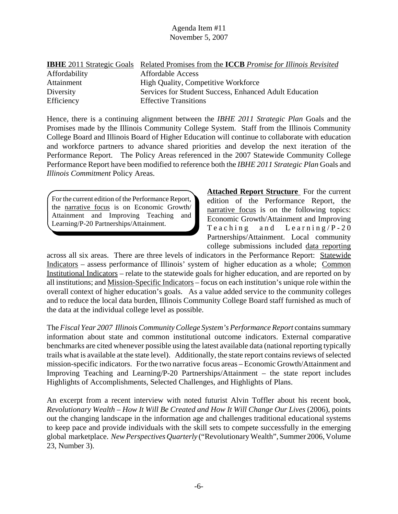|               | <b>IBHE</b> 2011 Strategic Goals Related Promises from the <b>ICCB</b> Promise for Illinois Revisited |
|---------------|-------------------------------------------------------------------------------------------------------|
| Affordability | <b>Affordable Access</b>                                                                              |
| Attainment    | <b>High Quality, Competitive Workforce</b>                                                            |
| Diversity     | Services for Student Success, Enhanced Adult Education                                                |
| Efficiency    | <b>Effective Transitions</b>                                                                          |

Hence, there is a continuing alignment between the *IBHE 2011 Strategic Plan* Goals and the Promises made by the Illinois Community College System. Staff from the Illinois Community College Board and Illinois Board of Higher Education will continue to collaborate with education and workforce partners to advance shared priorities and develop the next iteration of the Performance Report. The Policy Areas referenced in the 2007 Statewide Community College Performance Report have been modified to reference both the *IBHE 2011 Strategic Plan* Goals and *Illinois Commitment* Policy Areas.

For the current edition of the Performance Report, the narrative focus is on Economic Growth/ Attainment and Improving Teaching and Learning/P-20 Partnerships/Attainment.

**Attached Report Structure** For the current edition of the Performance Report, the narrative focus is on the following topics: Economic Growth/Attainment and Improving Teaching and Learning/P-20 Partnerships/Attainment. Local community college submissions included data reporting

across all six areas. There are three levels of indicators in the Performance Report: Statewide Indicators – assess performance of Illinois' system of higher education as a whole; Common Institutional Indicators – relate to the statewide goals for higher education, and are reported on by all institutions; and Mission-Specific Indicators – focus on each institution's unique role within the overall context of higher education's goals. As a value added service to the community colleges and to reduce the local data burden, Illinois Community College Board staff furnished as much of the data at the individual college level as possible.

The *Fiscal Year 2007 Illinois Community College System's Performance Report* contains summary information about state and common institutional outcome indicators. External comparative benchmarks are cited whenever possible using the latest available data (national reporting typically trails what is available at the state level). Additionally, the state report contains reviews of selected mission-specific indicators. For the two narrative focus areas – Economic Growth/Attainment and Improving Teaching and Learning/P-20 Partnerships/Attainment – the state report includes Highlights of Accomplishments, Selected Challenges, and Highlights of Plans.

An excerpt from a recent interview with noted futurist Alvin Toffler about his recent book, *Revolutionary Wealth – How It Will Be Created and How It Will Change Our Lives (2006), points* out the changing landscape in the information age and challenges traditional educational systems to keep pace and provide individuals with the skill sets to compete successfully in the emerging global marketplace. *New Perspectives Quarterly* ("Revolutionary Wealth", Summer 2006, Volume 23, Number 3).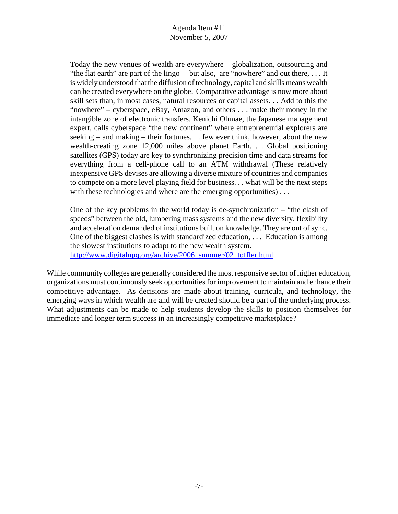Today the new venues of wealth are everywhere – globalization, outsourcing and "the flat earth" are part of the lingo – but also, are "nowhere" and out there, . . . It is widely understood that the diffusion of technology, capital and skills means wealth can be created everywhere on the globe. Comparative advantage is now more about skill sets than, in most cases, natural resources or capital assets. . . Add to this the "nowhere" – cyberspace, eBay, Amazon, and others . . . make their money in the intangible zone of electronic transfers. Kenichi Ohmae, the Japanese management expert, calls cyberspace "the new continent" where entrepreneurial explorers are seeking – and making – their fortunes. . . few ever think, however, about the new wealth-creating zone 12,000 miles above planet Earth. . . Global positioning satellites (GPS) today are key to synchronizing precision time and data streams for everything from a cell-phone call to an ATM withdrawal (These relatively inexpensive GPS devises are allowing a diverse mixture of countries and companies to compete on a more level playing field for business. . . what will be the next steps with these technologies and where are the emerging opportunities)...

One of the key problems in the world today is de-synchronization – "the clash of speeds" between the old, lumbering mass systems and the new diversity, flexibility and acceleration demanded of institutions built on knowledge. They are out of sync. One of the biggest clashes is with standardized education, . . . Education is among the slowest institutions to adapt to the new wealth system. http://www.digitalnpq.org/archive/2006\_summer/02\_toffler.html

While community colleges are generally considered the most responsive sector of higher education, organizations must continuously seek opportunities for improvement to maintain and enhance their competitive advantage. As decisions are made about training, curricula, and technology, the emerging ways in which wealth are and will be created should be a part of the underlying process. What adjustments can be made to help students develop the skills to position themselves for immediate and longer term success in an increasingly competitive marketplace?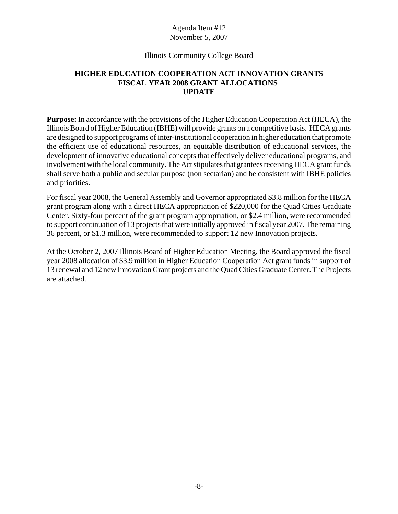# Illinois Community College Board

# **HIGHER EDUCATION COOPERATION ACT INNOVATION GRANTS FISCAL YEAR 2008 GRANT ALLOCATIONS UPDATE**

**Purpose:** In accordance with the provisions of the Higher Education Cooperation Act (HECA), the Illinois Board of Higher Education (IBHE) will provide grants on a competitive basis. HECA grants are designed to support programs of inter-institutional cooperation in higher education that promote the efficient use of educational resources, an equitable distribution of educational services, the development of innovative educational concepts that effectively deliver educational programs, and involvement with the local community. The Act stipulates that grantees receiving HECA grant funds shall serve both a public and secular purpose (non sectarian) and be consistent with IBHE policies and priorities.

For fiscal year 2008, the General Assembly and Governor appropriated \$3.8 million for the HECA grant program along with a direct HECA appropriation of \$220,000 for the Quad Cities Graduate Center. Sixty-four percent of the grant program appropriation, or \$2.4 million, were recommended to support continuation of 13 projects that were initially approved in fiscal year 2007. The remaining 36 percent, or \$1.3 million, were recommended to support 12 new Innovation projects.

At the October 2, 2007 Illinois Board of Higher Education Meeting, the Board approved the fiscal year 2008 allocation of \$3.9 million in Higher Education Cooperation Act grant funds in support of 13 renewal and 12 new Innovation Grant projects and the Quad Cities Graduate Center. The Projects are attached.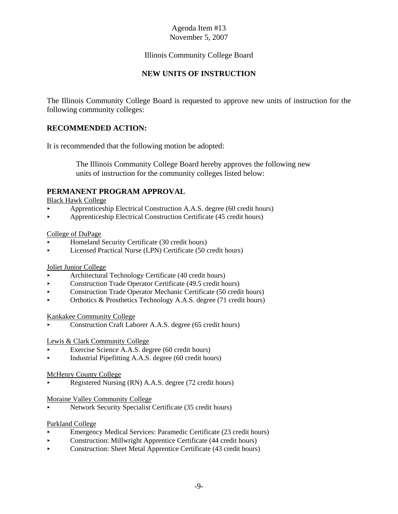# Illinois Community College Board

# **NEW UNITS OF INSTRUCTION**

The Illinois Community College Board is requested to approve new units of instruction for the following community colleges:

# **RECOMMENDED ACTION:**

It is recommended that the following motion be adopted:

 The Illinois Community College Board hereby approves the following new units of instruction for the community colleges listed below:

### **PERMANENT PROGRAM APPROVAL**

Black Hawk College

- < Apprenticeship Electrical Construction A.A.S. degree (60 credit hours)
- < Apprenticeship Electrical Construction Certificate (45 credit hours)

### College of DuPage

- < Homeland Security Certificate (30 credit hours)
- < Licensed Practical Nurse (LPN) Certificate (50 credit hours)

### Joliet Junior College

- < Architectural Technology Certificate (40 credit hours)
- Construction Trade Operator Certificate (49.5 credit hours)
- < Construction Trade Operator Mechanic Certificate (50 credit hours)
- < Orthotics & Prosthetics Technology A.A.S. degree (71 credit hours)

### Kankakee Community College

< Construction Craft Laborer A.A.S. degree (65 credit hours)

### Lewis & Clark Community College

- Exercise Science A.A.S. degree (60 credit hours)
- < Industrial Pipefitting A.A.S. degree (60 credit hours)

### McHenry County College

Registered Nursing (RN) A.A.S. degree (72 credit hours)

### Moraine Valley Community College

< Network Security Specialist Certificate (35 credit hours)

### Parkland College

- < Emergency Medical Services: Paramedic Certificate (23 credit hours)
- < Construction: Millwright Apprentice Certificate (44 credit hours)
- < Construction: Sheet Metal Apprentice Certificate (43 credit hours)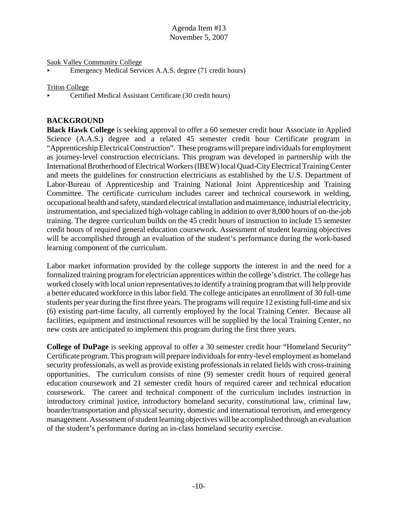Sauk Valley Community College

< Emergency Medical Services A.A.S. degree (71 credit hours)

Triton College

< Certified Medical Assistant Certificate (30 credit hours)

# **BACKGROUND**

**Black Hawk College** is seeking approval to offer a 60 semester credit hour Associate in Applied Science (A.A.S.) degree and a related 45 semester credit hour Certificate program in "Apprenticeship Electrical Construction". These programs will prepare individuals for employment as journey-level construction electricians. This program was developed in partnership with the International Brotherhood of Electrical Workers (IBEW) local Quad-City Electrical Training Center and meets the guidelines for construction electricians as established by the U.S. Department of Labor-Bureau of Apprenticeship and Training National Joint Apprenticeship and Training Committee. The certificate curriculum includes career and technical coursework in welding, occupational health and safety, standard electrical installation and maintenance, industrial electricity, instrumentation, and specialized high-voltage cabling in addition to over 8,000 hours of on-the-job training. The degree curriculum builds on the 45 credit hours of instruction to include 15 semester credit hours of required general education coursework. Assessment of student learning objectives will be accomplished through an evaluation of the student's performance during the work-based learning component of the curriculum.

Labor market information provided by the college supports the interest in and the need for a formalized training program for electrician apprentices within the college's district. The college has worked closely with local union representatives to identify a training program that will help provide a better educated workforce in this labor field. The college anticipates an enrollment of 30 full-time students per year during the first three years. The programs will require 12 existing full-time and six (6) existing part-time faculty, all currently employed by the local Training Center. Because all facilities, equipment and instructional resources will be supplied by the local Training Center, no new costs are anticipated to implement this program during the first three years.

**College of DuPage** is seeking approval to offer a 30 semester credit hour "Homeland Security" Certificate program. This program will prepare individuals for entry-level employment as homeland security professionals, as well as provide existing professionals in related fields with cross-training opportunities. The curriculum consists of nine (9) semester credit hours of required general education coursework and 21 semester credit hours of required career and technical education coursework. The career and technical component of the curriculum includes instruction in introductory criminal justice, introductory homeland security, constitutional law, criminal law, boarder/transportation and physical security, domestic and international terrorism, and emergency management. Assessment of student learning objectives will be accomplished through an evaluation of the student's performance during an in-class homeland security exercise.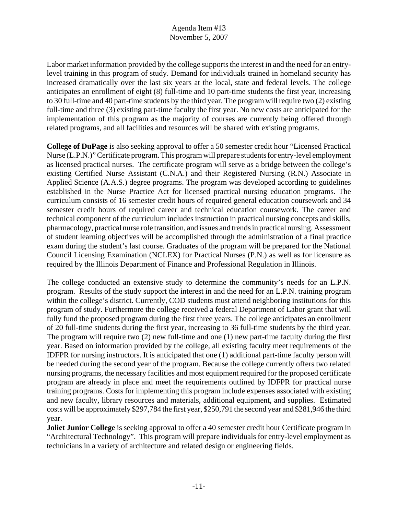Labor market information provided by the college supports the interest in and the need for an entrylevel training in this program of study. Demand for individuals trained in homeland security has increased dramatically over the last six years at the local, state and federal levels. The college anticipates an enrollment of eight (8) full-time and 10 part-time students the first year, increasing to 30 full-time and 40 part-time students by the third year. The program will require two (2) existing full-time and three (3) existing part-time faculty the first year. No new costs are anticipated for the implementation of this program as the majority of courses are currently being offered through related programs, and all facilities and resources will be shared with existing programs.

**College of DuPage** is also seeking approval to offer a 50 semester credit hour "Licensed Practical Nurse (L.P.N.)" Certificate program. This program will prepare students for entry-level employment as licensed practical nurses. The certificate program will serve as a bridge between the college's existing Certified Nurse Assistant (C.N.A.) and their Registered Nursing (R.N.) Associate in Applied Science (A.A.S.) degree programs. The program was developed according to guidelines established in the Nurse Practice Act for licensed practical nursing education programs. The curriculum consists of 16 semester credit hours of required general education coursework and 34 semester credit hours of required career and technical education coursework. The career and technical component of the curriculum includes instruction in practical nursing concepts and skills, pharmacology, practical nurse role transition, and issues and trends in practical nursing. Assessment of student learning objectives will be accomplished through the administration of a final practice exam during the student's last course. Graduates of the program will be prepared for the National Council Licensing Examination (NCLEX) for Practical Nurses (P.N.) as well as for licensure as required by the Illinois Department of Finance and Professional Regulation in Illinois.

The college conducted an extensive study to determine the community's needs for an L.P.N. program. Results of the study support the interest in and the need for an L.P.N. training program within the college's district. Currently, COD students must attend neighboring institutions for this program of study. Furthermore the college received a federal Department of Labor grant that will fully fund the proposed program during the first three years. The college anticipates an enrollment of 20 full-time students during the first year, increasing to 36 full-time students by the third year. The program will require two (2) new full-time and one (1) new part-time faculty during the first year. Based on information provided by the college, all existing faculty meet requirements of the IDFPR for nursing instructors. It is anticipated that one (1) additional part-time faculty person will be needed during the second year of the program. Because the college currently offers two related nursing programs, the necessary facilities and most equipment required for the proposed certificate program are already in place and meet the requirements outlined by IDFPR for practical nurse training programs. Costs for implementing this program include expenses associated with existing and new faculty, library resources and materials, additional equipment, and supplies. Estimated costs will be approximately \$297,784 the first year, \$250,791 the second year and \$281,946 the third year.

**Joliet Junior College** is seeking approval to offer a 40 semester credit hour Certificate program in "Architectural Technology". This program will prepare individuals for entry-level employment as technicians in a variety of architecture and related design or engineering fields.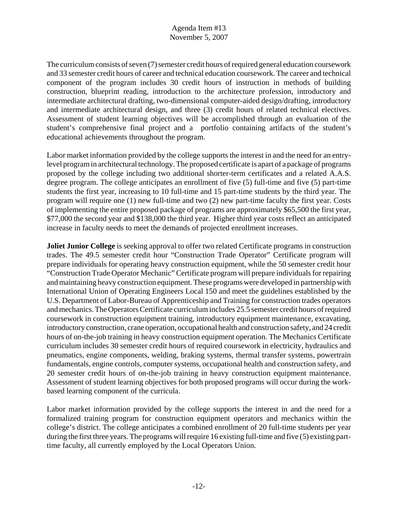The curriculum consists of seven (7) semester credit hours of required general education coursework and 33 semester credit hours of career and technical education coursework. The career and technical component of the program includes 30 credit hours of instruction in methods of building construction, blueprint reading, introduction to the architecture profession, introductory and intermediate architectural drafting, two-dimensional computer-aided design/drafting, introductory and intermediate architectural design, and three (3) credit hours of related technical electives. Assessment of student learning objectives will be accomplished through an evaluation of the student's comprehensive final project and a portfolio containing artifacts of the student's educational achievements throughout the program.

Labor market information provided by the college supports the interest in and the need for an entrylevel program in architectural technology. The proposed certificate is apart of a package of programs proposed by the college including two additional shorter-term certificates and a related A.A.S. degree program. The college anticipates an enrollment of five (5) full-time and five (5) part-time students the first year, increasing to 10 full-time and 15 part-time students by the third year. The program will require one (1) new full-time and two (2) new part-time faculty the first year. Costs of implementing the entire proposed package of programs are approximately \$65,500 the first year, \$77,000 the second year and \$138,000 the third year. Higher third year costs reflect an anticipated increase in faculty needs to meet the demands of projected enrollment increases.

**Joliet Junior College** is seeking approval to offer two related Certificate programs in construction trades. The 49.5 semester credit hour "Construction Trade Operator" Certificate program will prepare individuals for operating heavy construction equipment, while the 50 semester credit hour "Construction Trade Operator Mechanic" Certificate program will prepare individuals for repairing and maintaining heavy construction equipment. These programs were developed in partnership with International Union of Operating Engineers Local 150 and meet the guidelines established by the U.S. Department of Labor-Bureau of Apprenticeship and Training for construction trades operators and mechanics. The Operators Certificate curriculum includes 25.5 semester credit hours of required coursework in construction equipment training, introductory equipment maintenance, excavating, introductory construction, crane operation, occupational health and construction safety, and 24 credit hours of on-the-job training in heavy construction equipment operation. The Mechanics Certificate curriculum includes 30 semester credit hours of required coursework in electricity, hydraulics and pneumatics, engine components, welding, braking systems, thermal transfer systems, powertrain fundamentals, engine controls, computer systems, occupational health and construction safety, and 20 semester credit hours of on-the-job training in heavy construction equipment maintenance. Assessment of student learning objectives for both proposed programs will occur during the workbased learning component of the curricula.

Labor market information provided by the college supports the interest in and the need for a formalized training program for construction equipment operators and mechanics within the college's district. The college anticipates a combined enrollment of 20 full-time students per year during the first three years. The programs will require 16 existing full-time and five (5) existing parttime faculty, all currently employed by the Local Operators Union.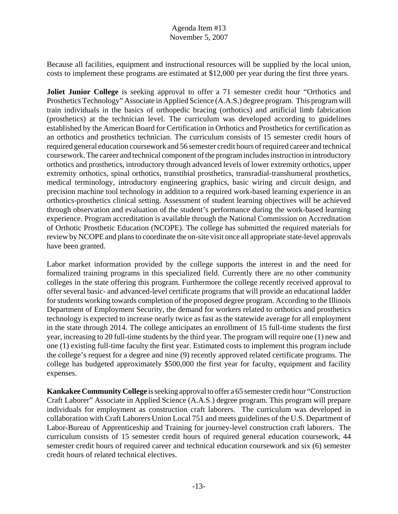Because all facilities, equipment and instructional resources will be supplied by the local union, costs to implement these programs are estimated at \$12,000 per year during the first three years.

**Joliet Junior College** is seeking approval to offer a 71 semester credit hour "Orthotics and Prosthetics Technology" Associate in Applied Science (A.A.S.) degree program. This program will train individuals in the basics of orthopedic bracing (orthotics) and artificial limb fabrication (prosthetics) at the technician level. The curriculum was developed according to guidelines established by the American Board for Certification in Orthotics and Prosthetics for certification as an orthotics and prosthetics technician. The curriculum consists of 15 semester credit hours of required general education coursework and 56 semester credit hours of required career and technical coursework. The career and technical component of the program includes instruction in introductory orthotics and prosthetics, introductory through advanced levels of lower extremity orthotics, upper extremity orthotics, spinal orthotics, transtibial prosthetics, transradial-transhumeral prosthetics, medical terminology, introductory engineering graphics, basic wiring and circuit design, and precision machine tool technology in addition to a required work-based learning experience in an orthotics-prosthetics clinical setting. Assessment of student learning objectives will be achieved through observation and evaluation of the student's performance during the work-based learning experience. Program accreditation is available through the National Commission on Accreditation of Orthotic Prosthetic Education (NCOPE). The college has submitted the required materials for review by NCOPE and plans to coordinate the on-site visit once all appropriate state-level approvals have been granted.

Labor market information provided by the college supports the interest in and the need for formalized training programs in this specialized field. Currently there are no other community colleges in the state offering this program. Furthermore the college recently received approval to offer several basic- and advanced-level certificate programs that will provide an educational ladder for students working towards completion of the proposed degree program. According to the Illinois Department of Employment Security, the demand for workers related to orthotics and prosthetics technology is expected to increase nearly twice as fast as the statewide average for all employment in the state through 2014. The college anticipates an enrollment of 15 full-time students the first year, increasing to 20 full-time students by the third year. The program will require one (1) new and one (1) existing full-time faculty the first year. Estimated costs to implement this program include the college's request for a degree and nine (9) recently approved related certificate programs. The college has budgeted approximately \$500,000 the first year for faculty, equipment and facility expenses.

**Kankakee Community College** is seeking approval to offer a 65 semester credit hour "Construction Craft Laborer" Associate in Applied Science (A.A.S.) degree program. This program will prepare individuals for employment as construction craft laborers. The curriculum was developed in collaboration with Craft Laborers Union Local 751 and meets guidelines of the U.S. Department of Labor-Bureau of Apprenticeship and Training for journey-level construction craft laborers. The curriculum consists of 15 semester credit hours of required general education coursework, 44 semester credit hours of required career and technical education coursework and six (6) semester credit hours of related technical electives.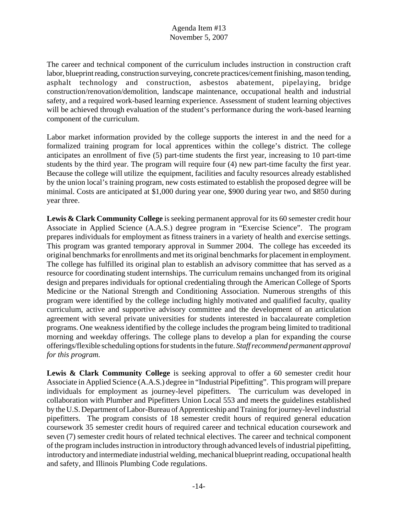The career and technical component of the curriculum includes instruction in construction craft labor, blueprint reading, construction surveying, concrete practices/cement finishing, mason tending, asphalt technology and construction, asbestos abatement, pipelaying, bridge construction/renovation/demolition, landscape maintenance, occupational health and industrial safety, and a required work-based learning experience. Assessment of student learning objectives will be achieved through evaluation of the student's performance during the work-based learning component of the curriculum.

Labor market information provided by the college supports the interest in and the need for a formalized training program for local apprentices within the college's district. The college anticipates an enrollment of five (5) part-time students the first year, increasing to 10 part-time students by the third year. The program will require four (4) new part-time faculty the first year. Because the college will utilize the equipment, facilities and faculty resources already established by the union local's training program, new costs estimated to establish the proposed degree will be minimal. Costs are anticipated at \$1,000 during year one, \$900 during year two, and \$850 during year three.

Lewis & Clark Community College is seeking permanent approval for its 60 semester credit hour Associate in Applied Science (A.A.S.) degree program in "Exercise Science". The program prepares individuals for employment as fitness trainers in a variety of health and exercise settings. This program was granted temporary approval in Summer 2004. The college has exceeded its original benchmarks for enrollments and met its original benchmarks for placement in employment. The college has fulfilled its original plan to establish an advisory committee that has served as a resource for coordinating student internships. The curriculum remains unchanged from its original design and prepares individuals for optional credentialing through the American College of Sports Medicine or the National Strength and Conditioning Association. Numerous strengths of this program were identified by the college including highly motivated and qualified faculty, quality curriculum, active and supportive advisory committee and the development of an articulation agreement with several private universities for students interested in baccalaureate completion programs. One weakness identified by the college includes the program being limited to traditional morning and weekday offerings. The college plans to develop a plan for expanding the course offerings/flexible scheduling options for students in the future. *Staff recommend permanent approval for this program.* 

Lewis & Clark Community College is seeking approval to offer a 60 semester credit hour Associate in Applied Science (A.A.S.) degree in "Industrial Pipefitting". This program will prepare individuals for employment as journey-level pipefitters. The curriculum was developed in collaboration with Plumber and Pipefitters Union Local 553 and meets the guidelines established by the U.S. Department of Labor-Bureau of Apprenticeship and Training for journey-level industrial pipefitters. The program consists of 18 semester credit hours of required general education coursework 35 semester credit hours of required career and technical education coursework and seven (7) semester credit hours of related technical electives. The career and technical component of the program includes instruction in introductory through advanced levels of industrial pipefitting, introductory and intermediate industrial welding, mechanical blueprint reading, occupational health and safety, and Illinois Plumbing Code regulations.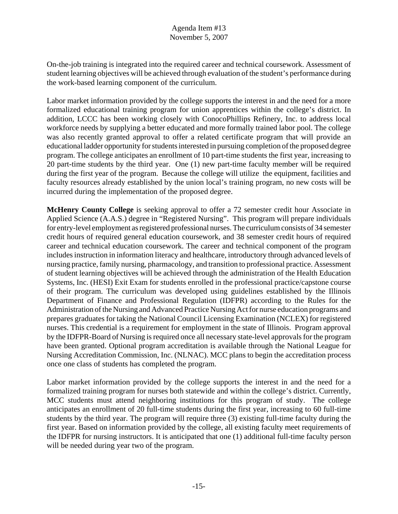On-the-job training is integrated into the required career and technical coursework. Assessment of student learning objectives will be achieved through evaluation of the student's performance during the work-based learning component of the curriculum.

Labor market information provided by the college supports the interest in and the need for a more formalized educational training program for union apprentices within the college's district. In addition, LCCC has been working closely with ConocoPhillips Refinery, Inc. to address local workforce needs by supplying a better educated and more formally trained labor pool. The college was also recently granted approval to offer a related certificate program that will provide an educational ladder opportunity for students interested in pursuing completion of the proposed degree program. The college anticipates an enrollment of 10 part-time students the first year, increasing to 20 part-time students by the third year. One (1) new part-time faculty member will be required during the first year of the program. Because the college will utilize the equipment, facilities and faculty resources already established by the union local's training program, no new costs will be incurred during the implementation of the proposed degree.

**McHenry County College** is seeking approval to offer a 72 semester credit hour Associate in Applied Science (A.A.S.) degree in "Registered Nursing". This program will prepare individuals for entry-level employment as registered professional nurses. The curriculum consists of 34 semester credit hours of required general education coursework, and 38 semester credit hours of required career and technical education coursework. The career and technical component of the program includes instruction in information literacy and healthcare, introductory through advanced levels of nursing practice, family nursing, pharmacology, and transition to professional practice. Assessment of student learning objectives will be achieved through the administration of the Health Education Systems, Inc. (HESI) Exit Exam for students enrolled in the professional practice/capstone course of their program. The curriculum was developed using guidelines established by the Illinois Department of Finance and Professional Regulation (IDFPR) according to the Rules for the Administration of the Nursing and Advanced Practice Nursing Act for nurse education programs and prepares graduates for taking the National Council Licensing Examination (NCLEX) for registered nurses. This credential is a requirement for employment in the state of Illinois. Program approval by the IDFPR-Board of Nursing is required once all necessary state-level approvals for the program have been granted. Optional program accreditation is available through the National League for Nursing Accreditation Commission, Inc. (NLNAC). MCC plans to begin the accreditation process once one class of students has completed the program.

Labor market information provided by the college supports the interest in and the need for a formalized training program for nurses both statewide and within the college's district. Currently, MCC students must attend neighboring institutions for this program of study. The college anticipates an enrollment of 20 full-time students during the first year, increasing to 60 full-time students by the third year. The program will require three (3) existing full-time faculty during the first year. Based on information provided by the college, all existing faculty meet requirements of the IDFPR for nursing instructors. It is anticipated that one (1) additional full-time faculty person will be needed during year two of the program.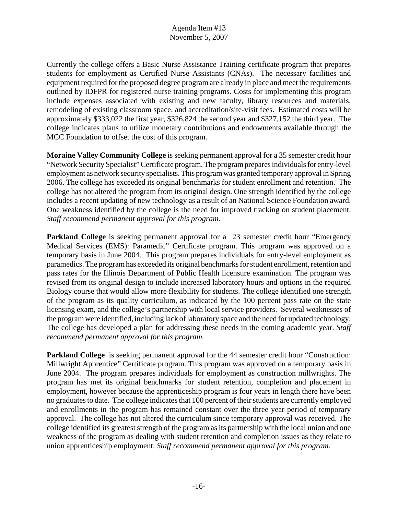Currently the college offers a Basic Nurse Assistance Training certificate program that prepares students for employment as Certified Nurse Assistants (CNAs). The necessary facilities and equipment required for the proposed degree program are already in place and meet the requirements outlined by IDFPR for registered nurse training programs. Costs for implementing this program include expenses associated with existing and new faculty, library resources and materials, remodeling of existing classroom space, and accreditation/site-visit fees. Estimated costs will be approximately \$333,022 the first year, \$326,824 the second year and \$327,152 the third year. The college indicates plans to utilize monetary contributions and endowments available through the MCC Foundation to offset the cost of this program.

**Moraine Valley Community College** is seeking permanent approval for a 35 semester credit hour "Network Security Specialist" Certificate program. The program prepares individuals for entry-level employment as network security specialists. This program was granted temporary approval in Spring 2006. The college has exceeded its original benchmarks for student enrollment and retention. The college has not altered the program from its original design. One strength identified by the college includes a recent updating of new technology as a result of an National Science Foundation award. One weakness identified by the college is the need for improved tracking on student placement. *Staff recommend permanent approval for this program.* 

**Parkland College** is seeking permanent approval for a 23 semester credit hour "Emergency" Medical Services (EMS): Paramedic" Certificate program. This program was approved on a temporary basis in June 2004. This program prepares individuals for entry-level employment as paramedics. The program has exceeded its original benchmarks for student enrollment, retention and pass rates for the Illinois Department of Public Health licensure examination. The program was revised from its original design to include increased laboratory hours and options in the required Biology course that would allow more flexibility for students. The college identified one strength of the program as its quality curriculum, as indicated by the 100 percent pass rate on the state licensing exam, and the college's partnership with local service providers. Several weaknesses of the program were identified, including lack of laboratory space and the need for updated technology. The college has developed a plan for addressing these needs in the coming academic year. *Staff recommend permanent approval for this program.* 

**Parkland College** is seeking permanent approval for the 44 semester credit hour "Construction: Millwright Apprentice" Certificate program. This program was approved on a temporary basis in June 2004. The program prepares individuals for employment as construction millwrights. The program has met its original benchmarks for student retention, completion and placement in employment, however because the apprenticeship program is four years in length there have been no graduates to date. The college indicates that 100 percent of their students are currently employed and enrollments in the program has remained constant over the three year period of temporary approval. The college has not altered the curriculum since temporary approval was received. The college identified its greatest strength of the program as its partnership with the local union and one weakness of the program as dealing with student retention and completion issues as they relate to union apprenticeship employment. *Staff recommend permanent approval for this program.*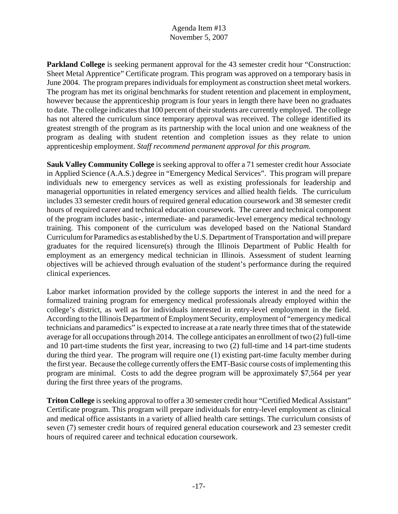**Parkland College** is seeking permanent approval for the 43 semester credit hour "Construction: Sheet Metal Apprentice" Certificate program. This program was approved on a temporary basis in June 2004. The program prepares individuals for employment as construction sheet metal workers. The program has met its original benchmarks for student retention and placement in employment, however because the apprenticeship program is four years in length there have been no graduates to date. The college indicates that 100 percent of their students are currently employed. The college has not altered the curriculum since temporary approval was received. The college identified its greatest strength of the program as its partnership with the local union and one weakness of the program as dealing with student retention and completion issues as they relate to union apprenticeship employment. *Staff recommend permanent approval for this program.* 

**Sauk Valley Community College** is seeking approval to offer a 71 semester credit hour Associate in Applied Science (A.A.S.) degree in "Emergency Medical Services". This program will prepare individuals new to emergency services as well as existing professionals for leadership and managerial opportunities in related emergency services and allied health fields. The curriculum includes 33 semester credit hours of required general education coursework and 38 semester credit hours of required career and technical education coursework. The career and technical component of the program includes basic-, intermediate- and paramedic-level emergency medical technology training. This component of the curriculum was developed based on the National Standard Curriculum for Paramedics as established by the U.S. Department of Transportation and will prepare graduates for the required licensure(s) through the Illinois Department of Public Health for employment as an emergency medical technician in Illinois. Assessment of student learning objectives will be achieved through evaluation of the student's performance during the required clinical experiences.

Labor market information provided by the college supports the interest in and the need for a formalized training program for emergency medical professionals already employed within the college's district, as well as for individuals interested in entry-level employment in the field. According to the Illinois Department of Employment Security, employment of "emergency medical technicians and paramedics" is expected to increase at a rate nearly three times that of the statewide average for all occupations through 2014. The college anticipates an enrollment of two (2) full-time and 10 part-time students the first year, increasing to two (2) full-time and 14 part-time students during the third year. The program will require one (1) existing part-time faculty member during the first year. Because the college currently offers the EMT-Basic course costs of implementing this program are minimal. Costs to add the degree program will be approximately \$7,564 per year during the first three years of the programs.

**Triton College** is seeking approval to offer a 30 semester credit hour "Certified Medical Assistant" Certificate program. This program will prepare individuals for entry-level employment as clinical and medical office assistants in a variety of allied health care settings. The curriculum consists of seven (7) semester credit hours of required general education coursework and 23 semester credit hours of required career and technical education coursework.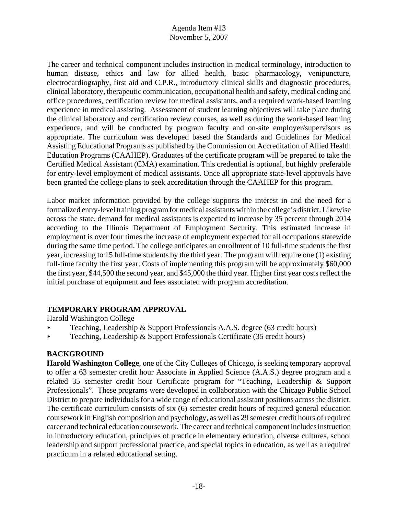The career and technical component includes instruction in medical terminology, introduction to human disease, ethics and law for allied health, basic pharmacology, venipuncture, electrocardiography, first aid and C.P.R., introductory clinical skills and diagnostic procedures, clinical laboratory, therapeutic communication, occupational health and safety, medical coding and office procedures, certification review for medical assistants, and a required work-based learning experience in medical assisting. Assessment of student learning objectives will take place during the clinical laboratory and certification review courses, as well as during the work-based learning experience, and will be conducted by program faculty and on-site employer/supervisors as appropriate. The curriculum was developed based the Standards and Guidelines for Medical Assisting Educational Programs as published by the Commission on Accreditation of Allied Health Education Programs (CAAHEP). Graduates of the certificate program will be prepared to take the Certified Medical Assistant (CMA) examination. This credential is optional, but highly preferable for entry-level employment of medical assistants. Once all appropriate state-level approvals have been granted the college plans to seek accreditation through the CAAHEP for this program.

Labor market information provided by the college supports the interest in and the need for a formalized entry-level training program for medical assistants within the college's district. Likewise across the state, demand for medical assistants is expected to increase by 35 percent through 2014 according to the Illinois Department of Employment Security. This estimated increase in employment is over four times the increase of employment expected for all occupations statewide during the same time period. The college anticipates an enrollment of 10 full-time students the first year, increasing to 15 full-time students by the third year. The program will require one (1) existing full-time faculty the first year. Costs of implementing this program will be approximately \$60,000 the first year, \$44,500 the second year, and \$45,000 the third year. Higher first year costs reflect the initial purchase of equipment and fees associated with program accreditation.

# **TEMPORARY PROGRAM APPROVAL**

Harold Washington College

- **Example 3** Teaching, Leadership & Support Professionals A.A.S. degree (63 credit hours)
- $\triangleright$  Teaching, Leadership & Support Professionals Certificate (35 credit hours)

# **BACKGROUND**

**Harold Washington College**, one of the City Colleges of Chicago, is seeking temporary approval to offer a 63 semester credit hour Associate in Applied Science (A.A.S.) degree program and a related 35 semester credit hour Certificate program for "Teaching, Leadership & Support Professionals". These programs were developed in collaboration with the Chicago Public School District to prepare individuals for a wide range of educational assistant positions across the district. The certificate curriculum consists of six (6) semester credit hours of required general education coursework in English composition and psychology, as well as 29 semester credit hours of required career and technical education coursework. The career and technical component includes instruction in introductory education, principles of practice in elementary education, diverse cultures, school leadership and support professional practice, and special topics in education, as well as a required practicum in a related educational setting.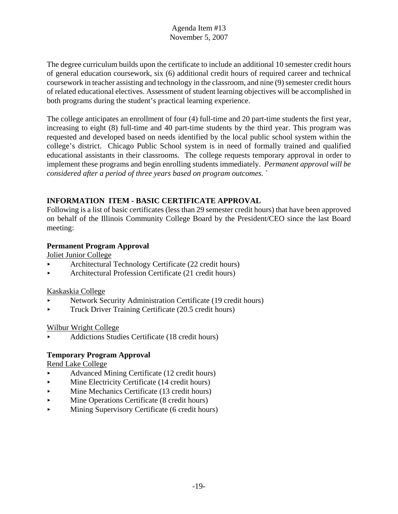The degree curriculum builds upon the certificate to include an additional 10 semester credit hours of general education coursework, six (6) additional credit hours of required career and technical coursework in teacher assisting and technology in the classroom, and nine (9) semester credit hours of related educational electives. Assessment of student learning objectives will be accomplished in both programs during the student's practical learning experience.

The college anticipates an enrollment of four (4) full-time and 20 part-time students the first year, increasing to eight (8) full-time and 40 part-time students by the third year. This program was requested and developed based on needs identified by the local public school system within the college's district. Chicago Public School system is in need of formally trained and qualified educational assistants in their classrooms. The college requests temporary approval in order to implement these programs and begin enrolling students immediately. *Permanent approval will be considered after a period of three years based on program outcomes.* `

# **INFORMATION ITEM - BASIC CERTIFICATE APPROVAL**

Following is a list of basic certificates (less than 29 semester credit hours) that have been approved on behalf of the Illinois Community College Board by the President/CEO since the last Board meeting:

# **Permanent Program Approval**

Joliet Junior College

- **Example 22** Architectural Technology Certificate (22 credit hours)
- < Architectural Profession Certificate (21 credit hours)

# Kaskaskia College

- < Network Security Administration Certificate (19 credit hours)
- $\blacktriangleright$  Truck Driver Training Certificate (20.5 credit hours)

# Wilbur Wright College

< Addictions Studies Certificate (18 credit hours)

# **Temporary Program Approval**

Rend Lake College

- < Advanced Mining Certificate (12 credit hours)
- Mine Electricity Certificate (14 credit hours)
- $\blacktriangleright$  Mine Mechanics Certificate (13 credit hours)
- $\blacktriangleright$  Mine Operations Certificate (8 credit hours)
- $\blacktriangleright$  Mining Supervisory Certificate (6 credit hours)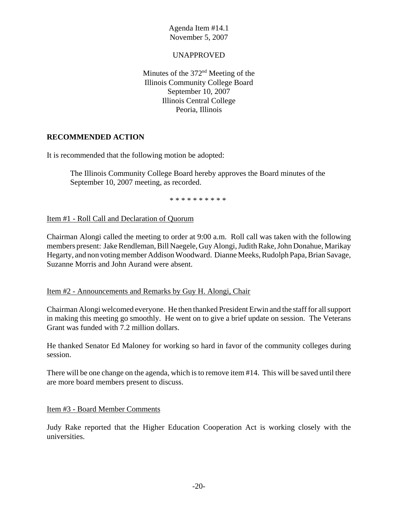### UNAPPROVED

Minutes of the 372<sup>nd</sup> Meeting of the Illinois Community College Board September 10, 2007 Illinois Central College Peoria, Illinois

### **RECOMMENDED ACTION**

It is recommended that the following motion be adopted:

The Illinois Community College Board hereby approves the Board minutes of the September 10, 2007 meeting, as recorded.

\* \* \* \* \* \* \* \* \* \*

Item #1 - Roll Call and Declaration of Quorum

Chairman Alongi called the meeting to order at 9:00 a.m. Roll call was taken with the following members present: Jake Rendleman, Bill Naegele, Guy Alongi, Judith Rake, John Donahue, Marikay Hegarty, and non voting member Addison Woodward. Dianne Meeks, Rudolph Papa, Brian Savage, Suzanne Morris and John Aurand were absent.

### Item #2 - Announcements and Remarks by Guy H. Alongi, Chair

Chairman Alongi welcomed everyone. He then thanked President Erwin and the staff for all support in making this meeting go smoothly. He went on to give a brief update on session. The Veterans Grant was funded with 7.2 million dollars.

He thanked Senator Ed Maloney for working so hard in favor of the community colleges during session.

There will be one change on the agenda, which is to remove item #14. This will be saved until there are more board members present to discuss.

Item #3 - Board Member Comments

Judy Rake reported that the Higher Education Cooperation Act is working closely with the universities.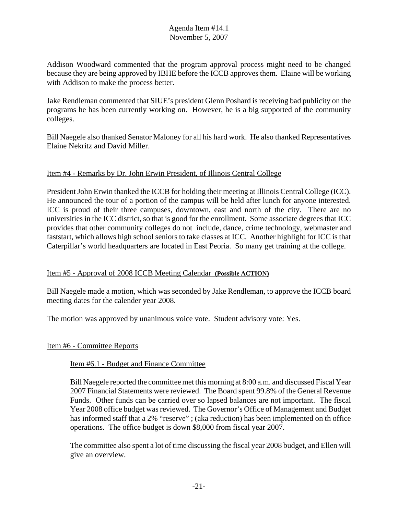Addison Woodward commented that the program approval process might need to be changed because they are being approved by IBHE before the ICCB approves them. Elaine will be working with Addison to make the process better.

Jake Rendleman commented that SIUE's president Glenn Poshard is receiving bad publicity on the programs he has been currently working on. However, he is a big supported of the community colleges.

Bill Naegele also thanked Senator Maloney for all his hard work. He also thanked Representatives Elaine Nekritz and David Miller.

# Item #4 - Remarks by Dr. John Erwin President, of Illinois Central College

President John Erwin thanked the ICCB for holding their meeting at Illinois Central College (ICC). He announced the tour of a portion of the campus will be held after lunch for anyone interested. ICC is proud of their three campuses, downtown, east and north of the city. There are no universities in the ICC district, so that is good for the enrollment. Some associate degrees that ICC provides that other community colleges do not include, dance, crime technology, webmaster and faststart, which allows high school seniors to take classes at ICC. Another highlight for ICC is that Caterpillar's world headquarters are located in East Peoria. So many get training at the college.

# Item #5 - Approval of 2008 ICCB Meeting Calendar **(Possible ACTION)**

Bill Naegele made a motion, which was seconded by Jake Rendleman, to approve the ICCB board meeting dates for the calender year 2008.

The motion was approved by unanimous voice vote. Student advisory vote: Yes.

# Item #6 - Committee Reports

# Item #6.1 - Budget and Finance Committee

Bill Naegele reported the committee met this morning at 8:00 a.m. and discussed Fiscal Year 2007 Financial Statements were reviewed. The Board spent 99.8% of the General Revenue Funds. Other funds can be carried over so lapsed balances are not important. The fiscal Year 2008 office budget was reviewed. The Governor's Office of Management and Budget has informed staff that a 2% "reserve"; (aka reduction) has been implemented on th office operations. The office budget is down \$8,000 from fiscal year 2007.

The committee also spent a lot of time discussing the fiscal year 2008 budget, and Ellen will give an overview.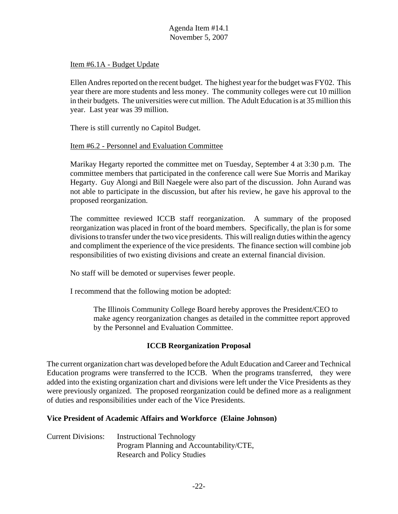Item #6.1A - Budget Update

Ellen Andres reported on the recent budget. The highest year for the budget was FY02. This year there are more students and less money. The community colleges were cut 10 million in their budgets. The universities were cut million. The Adult Education is at 35 million this year. Last year was 39 million.

There is still currently no Capitol Budget.

### Item #6.2 - Personnel and Evaluation Committee

Marikay Hegarty reported the committee met on Tuesday, September 4 at 3:30 p.m. The committee members that participated in the conference call were Sue Morris and Marikay Hegarty. Guy Alongi and Bill Naegele were also part of the discussion. John Aurand was not able to participate in the discussion, but after his review, he gave his approval to the proposed reorganization.

The committee reviewed ICCB staff reorganization. A summary of the proposed reorganization was placed in front of the board members. Specifically, the plan is for some divisions to transfer under the two vice presidents. This will realign duties within the agency and compliment the experience of the vice presidents. The finance section will combine job responsibilities of two existing divisions and create an external financial division.

No staff will be demoted or supervises fewer people.

I recommend that the following motion be adopted:

The Illinois Community College Board hereby approves the President/CEO to make agency reorganization changes as detailed in the committee report approved by the Personnel and Evaluation Committee.

# **ICCB Reorganization Proposal**

The current organization chart was developed before the Adult Education and Career and Technical Education programs were transferred to the ICCB. When the programs transferred, they were added into the existing organization chart and divisions were left under the Vice Presidents as they were previously organized. The proposed reorganization could be defined more as a realignment of duties and responsibilities under each of the Vice Presidents.

### **Vice President of Academic Affairs and Workforce (Elaine Johnson)**

| <b>Current Divisions:</b> | <b>Instructional Technology</b>          |
|---------------------------|------------------------------------------|
|                           | Program Planning and Accountability/CTE, |
|                           | <b>Research and Policy Studies</b>       |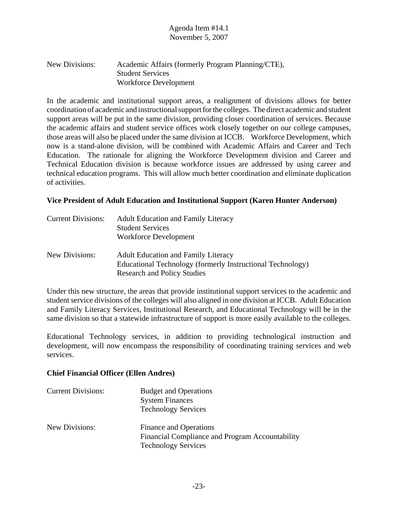| New Divisions: | Academic Affairs (formerly Program Planning/CTE), |
|----------------|---------------------------------------------------|
|                | <b>Student Services</b>                           |
|                | Workforce Development                             |

In the academic and institutional support areas, a realignment of divisions allows for better coordination of academic and instructional support for the colleges. The direct academic and student support areas will be put in the same division, providing closer coordination of services. Because the academic affairs and student service offices work closely together on our college campuses, those areas will also be placed under the same division at ICCB. Workforce Development, which now is a stand-alone division, will be combined with Academic Affairs and Career and Tech Education. The rationale for aligning the Workforce Development division and Career and Technical Education division is because workforce issues are addressed by using career and technical education programs. This will allow much better coordination and eliminate duplication of activities.

### **Vice President of Adult Education and Institutional Support (Karen Hunter Anderson)**

| <b>Current Divisions:</b> | <b>Adult Education and Family Literacy</b><br><b>Student Services</b><br>Workforce Development                                                 |
|---------------------------|------------------------------------------------------------------------------------------------------------------------------------------------|
| New Divisions:            | <b>Adult Education and Family Literacy</b><br>Educational Technology (formerly Instructional Technology)<br><b>Research and Policy Studies</b> |

Under this new structure, the areas that provide institutional support services to the academic and student service divisions of the colleges will also aligned in one division at ICCB. Adult Education and Family Literacy Services, Institutional Research, and Educational Technology will be in the same division so that a statewide infrastructure of support is more easily available to the colleges.

Educational Technology services, in addition to providing technological instruction and development, will now encompass the responsibility of coordinating training services and web services.

### **Chief Financial Officer (Ellen Andres)**

| <b>Current Divisions:</b> | <b>Budget and Operations</b><br><b>System Finances</b><br><b>Technology Services</b>                    |
|---------------------------|---------------------------------------------------------------------------------------------------------|
| New Divisions:            | Finance and Operations<br>Financial Compliance and Program Accountability<br><b>Technology Services</b> |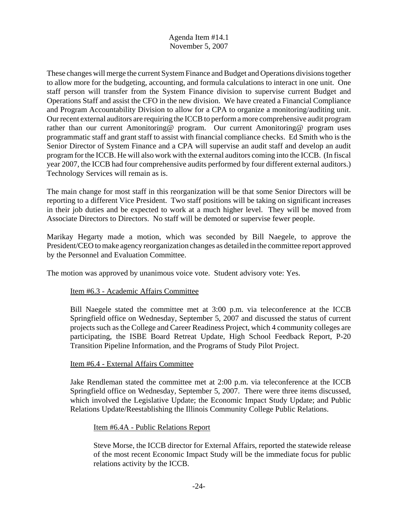These changes will merge the current System Finance and Budget and Operations divisions together to allow more for the budgeting, accounting, and formula calculations to interact in one unit. One staff person will transfer from the System Finance division to supervise current Budget and Operations Staff and assist the CFO in the new division. We have created a Financial Compliance and Program Accountability Division to allow for a CPA to organize a monitoring/auditing unit. Our recent external auditors are requiring the ICCB to perform a more comprehensive audit program rather than our current Amonitoring@ program. Our current Amonitoring@ program uses programmatic staff and grant staff to assist with financial compliance checks. Ed Smith who is the Senior Director of System Finance and a CPA will supervise an audit staff and develop an audit program for the ICCB. He will also work with the external auditors coming into the ICCB. (In fiscal year 2007, the ICCB had four comprehensive audits performed by four different external auditors.) Technology Services will remain as is.

The main change for most staff in this reorganization will be that some Senior Directors will be reporting to a different Vice President. Two staff positions will be taking on significant increases in their job duties and be expected to work at a much higher level. They will be moved from Associate Directors to Directors. No staff will be demoted or supervise fewer people.

Marikay Hegarty made a motion, which was seconded by Bill Naegele, to approve the President/CEO to make agency reorganization changes as detailed in the committee report approved by the Personnel and Evaluation Committee.

The motion was approved by unanimous voice vote. Student advisory vote: Yes.

### Item #6.3 - Academic Affairs Committee

Bill Naegele stated the committee met at 3:00 p.m. via teleconference at the ICCB Springfield office on Wednesday, September 5, 2007 and discussed the status of current projects such as the College and Career Readiness Project, which 4 community colleges are participating, the ISBE Board Retreat Update, High School Feedback Report, P-20 Transition Pipeline Information, and the Programs of Study Pilot Project.

# Item #6.4 - External Affairs Committee

Jake Rendleman stated the committee met at 2:00 p.m. via teleconference at the ICCB Springfield office on Wednesday, September 5, 2007. There were three items discussed, which involved the Legislative Update; the Economic Impact Study Update; and Public Relations Update/Reestablishing the Illinois Community College Public Relations.

### Item #6.4A - Public Relations Report

Steve Morse, the ICCB director for External Affairs, reported the statewide release of the most recent Economic Impact Study will be the immediate focus for public relations activity by the ICCB.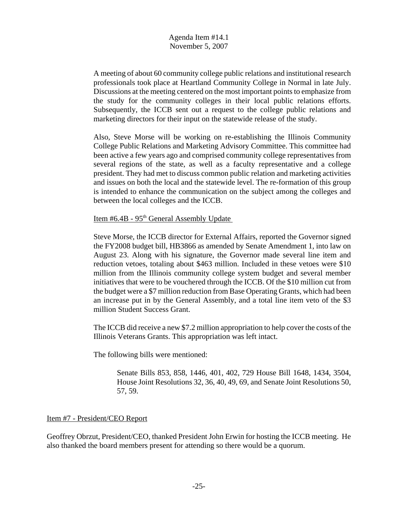A meeting of about 60 community college public relations and institutional research professionals took place at Heartland Community College in Normal in late July. Discussions at the meeting centered on the most important points to emphasize from the study for the community colleges in their local public relations efforts. Subsequently, the ICCB sent out a request to the college public relations and marketing directors for their input on the statewide release of the study.

Also, Steve Morse will be working on re-establishing the Illinois Community College Public Relations and Marketing Advisory Committee. This committee had been active a few years ago and comprised community college representatives from several regions of the state, as well as a faculty representative and a college president. They had met to discuss common public relation and marketing activities and issues on both the local and the statewide level. The re-formation of this group is intended to enhance the communication on the subject among the colleges and between the local colleges and the ICCB.

Item #6.4B - 95<sup>th</sup> General Assembly Update

Steve Morse, the ICCB director for External Affairs, reported the Governor signed the FY2008 budget bill, HB3866 as amended by Senate Amendment 1, into law on August 23. Along with his signature, the Governor made several line item and reduction vetoes, totaling about \$463 million. Included in these vetoes were \$10 million from the Illinois community college system budget and several member initiatives that were to be vouchered through the ICCB. Of the \$10 million cut from the budget were a \$7 million reduction from Base Operating Grants, which had been an increase put in by the General Assembly, and a total line item veto of the \$3 million Student Success Grant.

The ICCB did receive a new \$7.2 million appropriation to help cover the costs of the Illinois Veterans Grants. This appropriation was left intact.

The following bills were mentioned:

Senate Bills 853, 858, 1446, 401, 402, 729 House Bill 1648, 1434, 3504, House Joint Resolutions 32, 36, 40, 49, 69, and Senate Joint Resolutions 50, 57, 59.

### Item #7 - President/CEO Report

Geoffrey Obrzut, President/CEO, thanked President John Erwin for hosting the ICCB meeting. He also thanked the board members present for attending so there would be a quorum.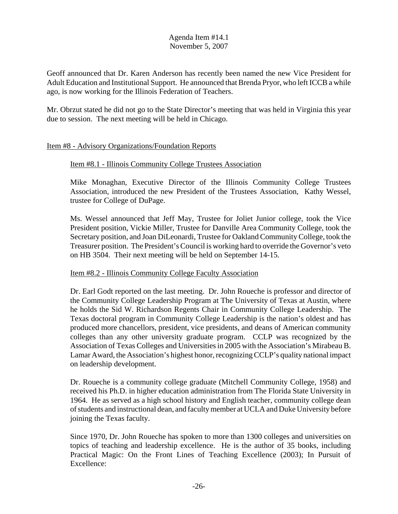Geoff announced that Dr. Karen Anderson has recently been named the new Vice President for Adult Education and Institutional Support. He announced that Brenda Pryor, who left ICCB a while ago, is now working for the Illinois Federation of Teachers.

Mr. Obrzut stated he did not go to the State Director's meeting that was held in Virginia this year due to session. The next meeting will be held in Chicago.

### Item #8 - Advisory Organizations/Foundation Reports

### Item #8.1 - Illinois Community College Trustees Association

Mike Monaghan, Executive Director of the Illinois Community College Trustees Association, introduced the new President of the Trustees Association, Kathy Wessel, trustee for College of DuPage.

Ms. Wessel announced that Jeff May, Trustee for Joliet Junior college, took the Vice President position, Vickie Miller, Trustee for Danville Area Community College, took the Secretary position, and Joan DiLeonardi, Trustee for Oakland Community College, took the Treasurer position.The President's Council is working hard to override the Governor's veto on HB 3504. Their next meeting will be held on September 14-15.

### Item #8.2 - Illinois Community College Faculty Association

Dr. Earl Godt reported on the last meeting. Dr. John Roueche is professor and director of the Community College Leadership Program at The University of Texas at Austin, where he holds the Sid W. Richardson Regents Chair in Community College Leadership. The Texas doctoral program in Community College Leadership is the nation's oldest and has produced more chancellors, president, vice presidents, and deans of American community colleges than any other university graduate program. CCLP was recognized by the Association of Texas Colleges and Universities in 2005 with the Association's Mirabeau B. Lamar Award, the Association's highest honor, recognizing CCLP's quality national impact on leadership development.

Dr. Roueche is a community college graduate (Mitchell Community College, 1958) and received his Ph.D. in higher education administration from The Florida State University in 1964. He as served as a high school history and English teacher, community college dean of students and instructional dean, and faculty member at UCLA and Duke University before joining the Texas faculty.

Since 1970, Dr. John Roueche has spoken to more than 1300 colleges and universities on topics of teaching and leadership excellence. He is the author of 35 books, including Practical Magic: On the Front Lines of Teaching Excellence (2003); In Pursuit of Excellence: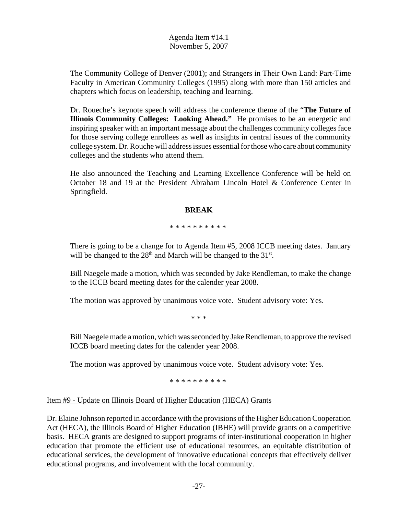The Community College of Denver (2001); and Strangers in Their Own Land: Part-Time Faculty in American Community Colleges (1995) along with more than 150 articles and chapters which focus on leadership, teaching and learning.

Dr. Roueche's keynote speech will address the conference theme of the "**The Future of Illinois Community Colleges: Looking Ahead."** He promises to be an energetic and inspiring speaker with an important message about the challenges community colleges face for those serving college enrollees as well as insights in central issues of the community college system. Dr. Rouche will address issues essential for those who care about community colleges and the students who attend them.

He also announced the Teaching and Learning Excellence Conference will be held on October 18 and 19 at the President Abraham Lincoln Hotel & Conference Center in Springfield.

### **BREAK**

### \* \* \* \* \* \* \* \* \* \*

There is going to be a change for to Agenda Item #5, 2008 ICCB meeting dates. January will be changed to the  $28<sup>th</sup>$  and March will be changed to the  $31<sup>st</sup>$ .

Bill Naegele made a motion, which was seconded by Jake Rendleman, to make the change to the ICCB board meeting dates for the calender year 2008.

The motion was approved by unanimous voice vote. Student advisory vote: Yes.

\* \* \*

Bill Naegele made a motion, which was seconded by Jake Rendleman, to approve the revised ICCB board meeting dates for the calender year 2008.

The motion was approved by unanimous voice vote. Student advisory vote: Yes.

\* \* \* \* \* \* \* \* \* \*

# Item #9 - Update on Illinois Board of Higher Education (HECA) Grants

Dr. Elaine Johnson reported in accordance with the provisions of the Higher Education Cooperation Act (HECA), the Illinois Board of Higher Education (IBHE) will provide grants on a competitive basis. HECA grants are designed to support programs of inter-institutional cooperation in higher education that promote the efficient use of educational resources, an equitable distribution of educational services, the development of innovative educational concepts that effectively deliver educational programs, and involvement with the local community.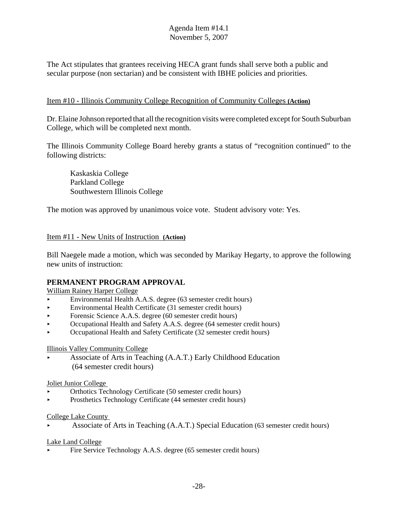The Act stipulates that grantees receiving HECA grant funds shall serve both a public and secular purpose (non sectarian) and be consistent with IBHE policies and priorities.

# Item #10 - Illinois Community College Recognition of Community Colleges **(Action)**

Dr. Elaine Johnson reported that all the recognition visits were completed except for South Suburban College, which will be completed next month.

The Illinois Community College Board hereby grants a status of "recognition continued" to the following districts:

Kaskaskia College Parkland College Southwestern Illinois College

The motion was approved by unanimous voice vote. Student advisory vote: Yes.

# Item #11 - New Units of Instruction **(Action)**

Bill Naegele made a motion, which was seconded by Marikay Hegarty, to approve the following new units of instruction:

# **PERMANENT PROGRAM APPROVAL**

William Rainey Harper College

- < Environmental Health A.A.S. degree (63 semester credit hours)
- < Environmental Health Certificate (31 semester credit hours)
- Forensic Science A.A.S. degree  $(60 \text{ semester credit hours})$
- < Occupational Health and Safety A.A.S. degree (64 semester credit hours)
- < Occupational Health and Safety Certificate (32 semester credit hours)

# Illinois Valley Community College

Associate of Arts in Teaching  $(A.A.T.)$  Early Childhood Education (64 semester credit hours)

### Joliet Junior College

- < Orthotics Technology Certificate (50 semester credit hours)
- Prosthetics Technology Certificate (44 semester credit hours)

### College Lake County

< Associate of Arts in Teaching (A.A.T.) Special Education (63 semester credit hours)

### Lake Land College

Fire Service Technology A.A.S. degree (65 semester credit hours)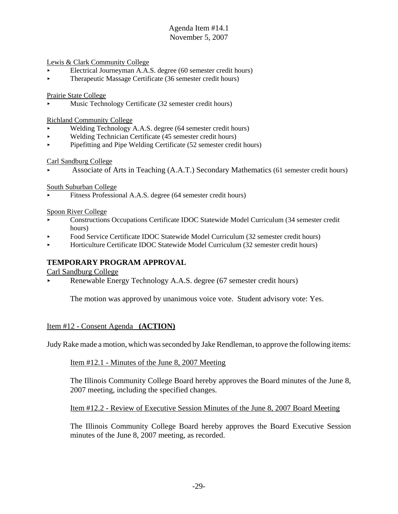Lewis & Clark Community College

- < Electrical Journeyman A.A.S. degree (60 semester credit hours)
- Therapeutic Massage Certificate (36 semester credit hours)

Prairie State College

< Music Technology Certificate (32 semester credit hours)

Richland Community College

- < Welding Technology A.A.S. degree (64 semester credit hours)
- < Welding Technician Certificate (45 semester credit hours)
- < Pipefitting and Pipe Welding Certificate (52 semester credit hours)

### Carl Sandburg College

< Associate of Arts in Teaching (A.A.T.) Secondary Mathematics (61 semester credit hours)

South Suburban College

< Fitness Professional A.A.S. degree (64 semester credit hours)

Spoon River College

- < Constructions Occupations Certificate IDOC Statewide Model Curriculum (34 semester credit hours)
- < Food Service Certificate IDOC Statewide Model Curriculum (32 semester credit hours)
- < Horticulture Certificate IDOC Statewide Model Curriculum (32 semester credit hours)

# **TEMPORARY PROGRAM APPROVAL**

Carl Sandburg College

Renewable Energy Technology A.A.S. degree (67 semester credit hours)

The motion was approved by unanimous voice vote. Student advisory vote: Yes.

### Item #12 - Consent Agenda **(ACTION)**

Judy Rake made a motion, which was seconded by Jake Rendleman, to approve the following items:

### Item #12.1 - Minutes of the June 8, 2007 Meeting

The Illinois Community College Board hereby approves the Board minutes of the June 8, 2007 meeting, including the specified changes.

Item #12.2 - Review of Executive Session Minutes of the June 8, 2007 Board Meeting

The Illinois Community College Board hereby approves the Board Executive Session minutes of the June 8, 2007 meeting, as recorded.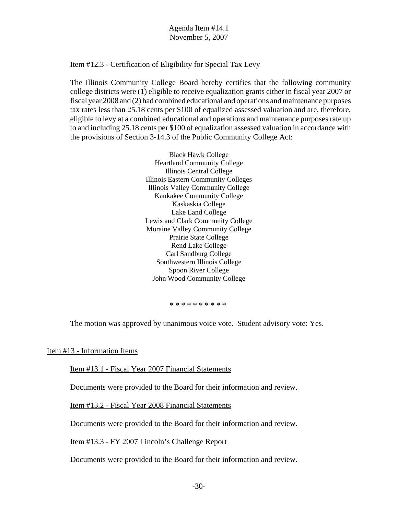### Item #12.3 - Certification of Eligibility for Special Tax Levy

The Illinois Community College Board hereby certifies that the following community college districts were (1) eligible to receive equalization grants either in fiscal year 2007 or fiscal year 2008 and (2) had combined educational and operations and maintenance purposes tax rates less than 25.18 cents per \$100 of equalized assessed valuation and are, therefore, eligible to levy at a combined educational and operations and maintenance purposes rate up to and including 25.18 cents per \$100 of equalization assessed valuation in accordance with the provisions of Section 3-14.3 of the Public Community College Act:

> Black Hawk College Heartland Community College Illinois Central College Illinois Eastern Community Colleges Illinois Valley Community College Kankakee Community College Kaskaskia College Lake Land College Lewis and Clark Community College Moraine Valley Community College Prairie State College Rend Lake College Carl Sandburg College Southwestern Illinois College Spoon River College John Wood Community College

> > \* \* \* \* \* \* \* \* \*

The motion was approved by unanimous voice vote. Student advisory vote: Yes.

Item #13 - Information Items

Item #13.1 - Fiscal Year 2007 Financial Statements

Documents were provided to the Board for their information and review.

Item #13.2 - Fiscal Year 2008 Financial Statements

Documents were provided to the Board for their information and review.

Item #13.3 - FY 2007 Lincoln's Challenge Report

Documents were provided to the Board for their information and review.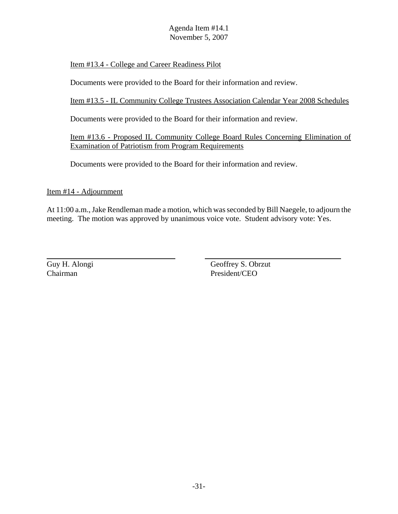# Item #13.4 - College and Career Readiness Pilot

Documents were provided to the Board for their information and review.

Item #13.5 - IL Community College Trustees Association Calendar Year 2008 Schedules

Documents were provided to the Board for their information and review.

Item #13.6 - Proposed IL Community College Board Rules Concerning Elimination of Examination of Patriotism from Program Requirements

Documents were provided to the Board for their information and review.

Item #14 - Adjournment

At 11:00 a.m., Jake Rendleman made a motion, which was seconded by Bill Naegele, to adjourn the meeting. The motion was approved by unanimous voice vote. Student advisory vote: Yes.

Guy H. Alongi Geoffrey S. Obrzut Chairman President/CEO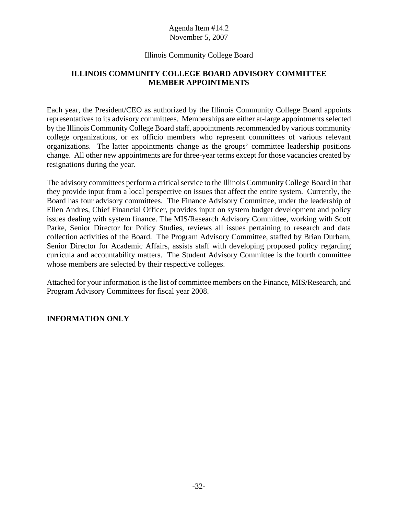# Illinois Community College Board

# **ILLINOIS COMMUNITY COLLEGE BOARD ADVISORY COMMITTEE MEMBER APPOINTMENTS**

Each year, the President/CEO as authorized by the Illinois Community College Board appoints representatives to its advisory committees. Memberships are either at-large appointments selected by the Illinois Community College Board staff, appointments recommended by various community college organizations, or ex officio members who represent committees of various relevant organizations. The latter appointments change as the groups' committee leadership positions change. All other new appointments are for three-year terms except for those vacancies created by resignations during the year.

The advisory committees perform a critical service to the Illinois Community College Board in that they provide input from a local perspective on issues that affect the entire system. Currently, the Board has four advisory committees. The Finance Advisory Committee, under the leadership of Ellen Andres, Chief Financial Officer, provides input on system budget development and policy issues dealing with system finance. The MIS/Research Advisory Committee, working with Scott Parke, Senior Director for Policy Studies, reviews all issues pertaining to research and data collection activities of the Board. The Program Advisory Committee, staffed by Brian Durham, Senior Director for Academic Affairs, assists staff with developing proposed policy regarding curricula and accountability matters. The Student Advisory Committee is the fourth committee whose members are selected by their respective colleges.

Attached for your information is the list of committee members on the Finance, MIS/Research, and Program Advisory Committees for fiscal year 2008.

# **INFORMATION ONLY**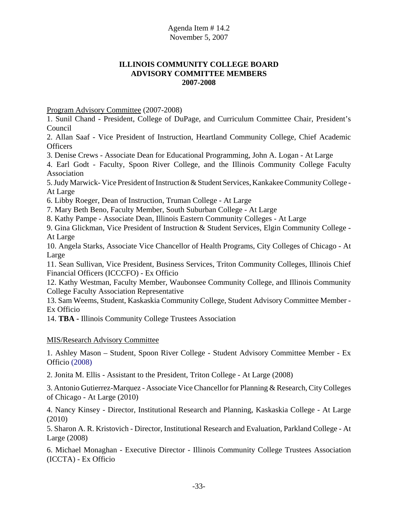# **ILLINOIS COMMUNITY COLLEGE BOARD ADVISORY COMMITTEE MEMBERS 2007-2008**

Program Advisory Committee (2007-2008)

1. Sunil Chand - President, College of DuPage, and Curriculum Committee Chair, President's Council

2. Allan Saaf - Vice President of Instruction, Heartland Community College, Chief Academic **Officers** 

3. Denise Crews - Associate Dean for Educational Programming, John A. Logan - At Large

4. Earl Godt - Faculty, Spoon River College, and the Illinois Community College Faculty Association

5. Judy Marwick- Vice President of Instruction & Student Services, Kankakee Community College - At Large

6. Libby Roeger, Dean of Instruction, Truman College - At Large

7. Mary Beth Beno, Faculty Member, South Suburban College - At Large

8. Kathy Pampe - Associate Dean, Illinois Eastern Community Colleges - At Large

9. Gina Glickman, Vice President of Instruction & Student Services, Elgin Community College - At Large

10. Angela Starks, Associate Vice Chancellor of Health Programs, City Colleges of Chicago - At Large

11. Sean Sullivan, Vice President, Business Services, Triton Community Colleges, Illinois Chief Financial Officers (ICCCFO) - Ex Officio

12. Kathy Westman, Faculty Member, Waubonsee Community College, and Illinois Community College Faculty Association Representative

13. Sam Weems, Student, Kaskaskia Community College, Student Advisory Committee Member - Ex Officio

14. **TBA -** Illinois Community College Trustees Association

MIS/Research Advisory Committee

1. Ashley Mason – Student, Spoon River College - Student Advisory Committee Member - Ex Officio (2008)

2. Jonita M. Ellis - Assistant to the President, Triton College - At Large (2008)

3. Antonio Gutierrez-Marquez - Associate Vice Chancellor for Planning & Research, City Colleges of Chicago - At Large (2010)

4. Nancy Kinsey - Director, Institutional Research and Planning, Kaskaskia College - At Large (2010)

5. Sharon A. R. Kristovich - Director, Institutional Research and Evaluation, Parkland College - At Large (2008)

6. Michael Monaghan - Executive Director - Illinois Community College Trustees Association (ICCTA) - Ex Officio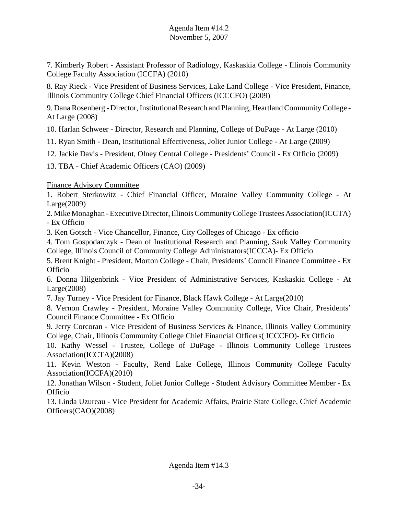7. Kimberly Robert - Assistant Professor of Radiology, Kaskaskia College - Illinois Community College Faculty Association (ICCFA) (2010)

8. Ray Rieck - Vice President of Business Services, Lake Land College - Vice President, Finance, Illinois Community College Chief Financial Officers (ICCCFO) (2009)

9. Dana Rosenberg - Director, Institutional Research and Planning, Heartland Community College - At Large (2008)

10. Harlan Schweer - Director, Research and Planning, College of DuPage - At Large (2010)

11. Ryan Smith - Dean, Institutional Effectiveness, Joliet Junior College - At Large (2009)

12. Jackie Davis - President, Olney Central College **-** Presidents' Council **-** Ex Officio (2009)

13. TBA - Chief Academic Officers (CAO) (2009)

# Finance Advisory Committee

1. Robert Sterkowitz - Chief Financial Officer, Moraine Valley Community College - At Large(2009)

2. Mike Monaghan - Executive Director, Illinois Community College Trustees Association(ICCTA) - Ex Officio

3. Ken Gotsch - Vice Chancellor, Finance, City Colleges of Chicago - Ex officio

4. Tom Gospodarczyk - Dean of Institutional Research and Planning, Sauk Valley Community College, Illinois Council of Community College Administrators(ICCCA)- Ex Officio

5. Brent Knight - President, Morton College - Chair, Presidents' Council Finance Committee - Ex **Officio** 

6. Donna Hilgenbrink - Vice President of Administrative Services, Kaskaskia College - At Large(2008)

7. Jay Turney - Vice President for Finance, Black Hawk College - At Large(2010)

8. Vernon Crawley - President, Moraine Valley Community College, Vice Chair, Presidents' Council Finance Committee - Ex Officio

9. Jerry Corcoran - Vice President of Business Services & Finance, Illinois Valley Community College, Chair, Illinois Community College Chief Financial Officers( ICCCFO)- Ex Officio

10. Kathy Wessel - Trustee, College of DuPage - Illinois Community College Trustees Association(ICCTA)(2008)

11. Kevin Weston - Faculty, Rend Lake College, Illinois Community College Faculty Association(ICCFA)(2010)

12. Jonathan Wilson - Student, Joliet Junior College - Student Advisory Committee Member - Ex Officio

13. Linda Uzureau - Vice President for Academic Affairs, Prairie State College, Chief Academic Officers(CAO)(2008)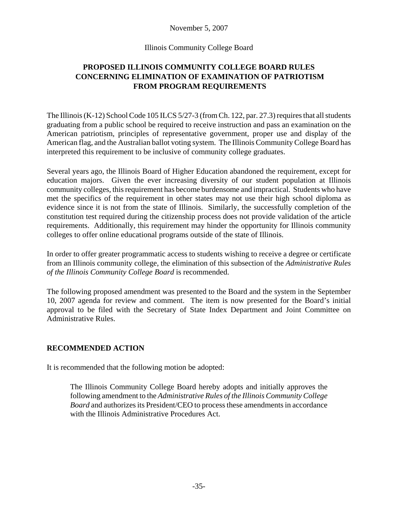# November 5, 2007

### Illinois Community College Board

# **PROPOSED ILLINOIS COMMUNITY COLLEGE BOARD RULES CONCERNING ELIMINATION OF EXAMINATION OF PATRIOTISM FROM PROGRAM REQUIREMENTS**

The Illinois (K-12) School Code 105 ILCS 5/27-3 (from Ch. 122, par. 27.3) requires that all students graduating from a public school be required to receive instruction and pass an examination on the American patriotism, principles of representative government, proper use and display of the American flag, and the Australian ballot voting system. The Illinois Community College Board has interpreted this requirement to be inclusive of community college graduates.

Several years ago, the Illinois Board of Higher Education abandoned the requirement, except for education majors. Given the ever increasing diversity of our student population at Illinois community colleges, this requirement has become burdensome and impractical. Students who have met the specifics of the requirement in other states may not use their high school diploma as evidence since it is not from the state of Illinois. Similarly, the successfully completion of the constitution test required during the citizenship process does not provide validation of the article requirements. Additionally, this requirement may hinder the opportunity for Illinois community colleges to offer online educational programs outside of the state of Illinois.

In order to offer greater programmatic access to students wishing to receive a degree or certificate from an Illinois community college, the elimination of this subsection of the *Administrative Rules of the Illinois Community College Board* is recommended.

The following proposed amendment was presented to the Board and the system in the September 10, 2007 agenda for review and comment. The item is now presented for the Board's initial approval to be filed with the Secretary of State Index Department and Joint Committee on Administrative Rules.

# **RECOMMENDED ACTION**

It is recommended that the following motion be adopted:

The Illinois Community College Board hereby adopts and initially approves the following amendment to the *Administrative Rules of the Illinois Community College Board* and authorizes its President/CEO to process these amendments in accordance with the Illinois Administrative Procedures Act.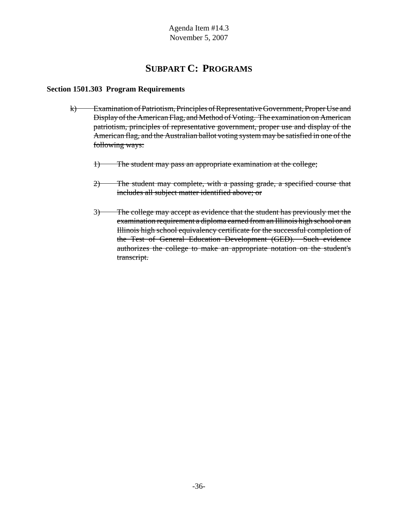# **SUBPART C: PROGRAMS**

# **Section 1501.303 Program Requirements**

- k) Examination of Patriotism, Principles of Representative Government, Proper Use and Display of the American Flag, and Method of Voting. The examination on American patriotism, principles of representative government, proper use and display of the American flag, and the Australian ballot voting system may be satisfied in one of the following ways:
	- 1) The student may pass an appropriate examination at the college;
	- 2) The student may complete, with a passing grade, a specified course that includes all subject matter identified above; or
	- 3) The college may accept as evidence that the student has previously met the examination requirement a diploma earned from an Illinois high school or an Illinois high school equivalency certificate for the successful completion of the Test of General Education Development (GED). Such evidence authorizes the college to make an appropriate notation on the student's transcript.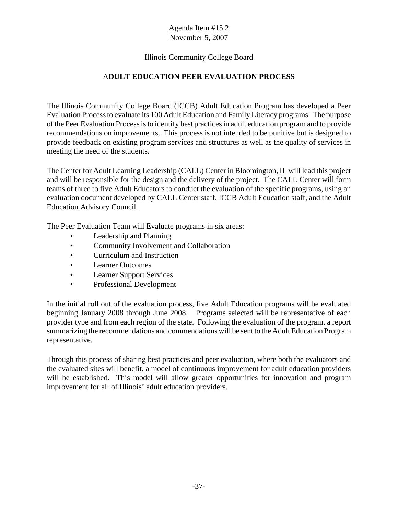# Illinois Community College Board

# A**DULT EDUCATION PEER EVALUATION PROCESS**

The Illinois Community College Board (ICCB) Adult Education Program has developed a Peer Evaluation Process to evaluate its 100 Adult Education and Family Literacy programs. The purpose of the Peer Evaluation Process is to identify best practices in adult education program and to provide recommendations on improvements. This process is not intended to be punitive but is designed to provide feedback on existing program services and structures as well as the quality of services in meeting the need of the students.

The Center for Adult Learning Leadership (CALL) Center in Bloomington, IL will lead this project and will be responsible for the design and the delivery of the project. The CALL Center will form teams of three to five Adult Educators to conduct the evaluation of the specific programs, using an evaluation document developed by CALL Center staff, ICCB Adult Education staff, and the Adult Education Advisory Council.

The Peer Evaluation Team will Evaluate programs in six areas:

- Leadership and Planning
- Community Involvement and Collaboration
- Curriculum and Instruction
- Learner Outcomes
- Learner Support Services
- Professional Development

In the initial roll out of the evaluation process, five Adult Education programs will be evaluated beginning January 2008 through June 2008. Programs selected will be representative of each provider type and from each region of the state. Following the evaluation of the program, a report summarizing the recommendations and commendations will be sent to the Adult Education Program representative.

Through this process of sharing best practices and peer evaluation, where both the evaluators and the evaluated sites will benefit, a model of continuous improvement for adult education providers will be established. This model will allow greater opportunities for innovation and program improvement for all of Illinois' adult education providers.